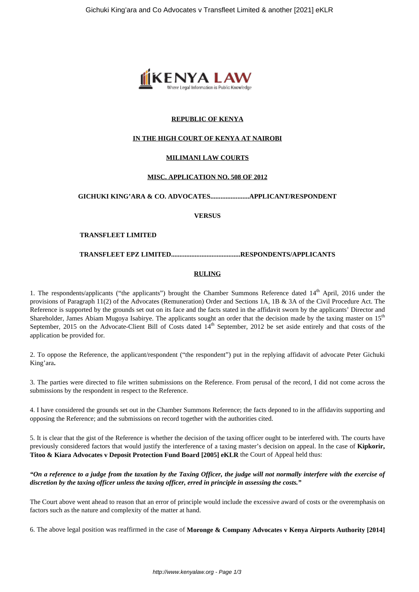

#### **REPUBLIC OF KENYA**

#### **IN THE HIGH COURT OF KENYA AT NAIROBI**

#### **MILIMANI LAW COURTS**

#### **MISC. APPLICATION NO. 508 OF 2012**

### **GICHUKI KING'ARA & CO. ADVOCATES.......................APPLICANT/RESPONDENT**

**VERSUS**

#### **TRANSFLEET LIMITED**

#### **TRANSFLEET EPZ LIMITED.........................................RESPONDENTS/APPLICANTS**

#### **RULING**

1. The respondents/applicants ("the applicants") brought the Chamber Summons Reference dated  $14<sup>th</sup>$  April, 2016 under the provisions of Paragraph 11(2) of the Advocates (Remuneration) Order and Sections 1A, 1B & 3A of the Civil Procedure Act. The Reference is supported by the grounds set out on its face and the facts stated in the affidavit sworn by the applicants' Director and Shareholder, James Abiam Mugoya Isabirye. The applicants sought an order that the decision made by the taxing master on 15<sup>th</sup> September, 2015 on the Advocate-Client Bill of Costs dated 14<sup>th</sup> September, 2012 be set aside entirely and that costs of the application be provided for.

2. To oppose the Reference, the applicant/respondent ("the respondent") put in the replying affidavit of advocate Peter Gichuki King'ara**.**

3. The parties were directed to file written submissions on the Reference. From perusal of the record, I did not come across the submissions by the respondent in respect to the Reference.

4. I have considered the grounds set out in the Chamber Summons Reference; the facts deponed to in the affidavits supporting and opposing the Reference; and the submissions on record together with the authorities cited.

5. It is clear that the gist of the Reference is whether the decision of the taxing officer ought to be interfered with. The courts have previously considered factors that would justify the interference of a taxing master's decision on appeal. In the case of **Kipkorir, Titoo & Kiara Advocates v Deposit Protection Fund Board [2005] eKLR** the Court of Appeal held thus:

#### *"On a reference to a judge from the taxation by the Taxing Officer, the judge will not normally interfere with the exercise of discretion by the taxing officer unless the taxing officer, erred in principle in assessing the costs."*

The Court above went ahead to reason that an error of principle would include the excessive award of costs or the overemphasis on factors such as the nature and complexity of the matter at hand.

6. The above legal position was reaffirmed in the case of **Moronge & Company Advocates v Kenya Airports Authority [2014]**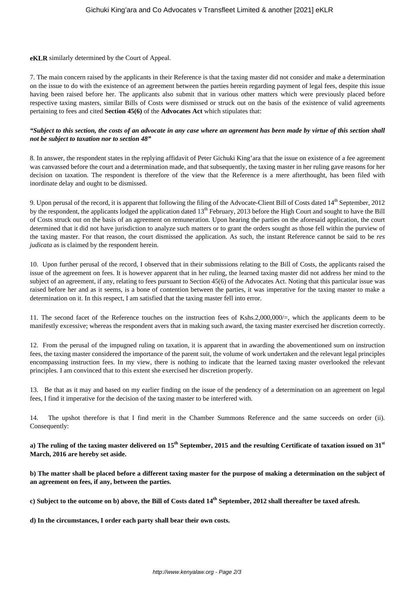**eKLR** similarly determined by the Court of Appeal.

7. The main concern raised by the applicants in their Reference is that the taxing master did not consider and make a determination on the issue to do with the existence of an agreement between the parties herein regarding payment of legal fees, despite this issue having been raised before her. The applicants also submit that in various other matters which were previously placed before respective taxing masters, similar Bills of Costs were dismissed or struck out on the basis of the existence of valid agreements pertaining to fees and cited **Section 45(6)** of the **Advocates Act** which stipulates that:

#### *"Subject to this section, the costs of an advocate in any case where an agreement has been made by virtue of this section shall not be subject to taxation nor to section 48"*

8. In answer, the respondent states in the replying affidavit of Peter Gichuki King'ara that the issue on existence of a fee agreement was canvassed before the court and a determination made, and that subsequently, the taxing master in her ruling gave reasons for her decision on taxation. The respondent is therefore of the view that the Reference is a mere afterthought, has been filed with inordinate delay and ought to be dismissed.

9. Upon perusal of the record, it is apparent that following the filing of the Advocate-Client Bill of Costs dated 14<sup>th</sup> September, 2012 by the respondent, the applicants lodged the application dated 13<sup>th</sup> February, 2013 before the High Court and sought to have the Bill of Costs struck out on the basis of an agreement on remuneration. Upon hearing the parties on the aforesaid application, the court determined that it did not have jurisdiction to analyze such matters or to grant the orders sought as those fell within the purview of the taxing master. For that reason, the court dismissed the application. As such, the instant Reference cannot be said to be *res judicata* as is claimed by the respondent herein.

10. Upon further perusal of the record, I observed that in their submissions relating to the Bill of Costs, the applicants raised the issue of the agreement on fees. It is however apparent that in her ruling, the learned taxing master did not address her mind to the subject of an agreement, if any, relating to fees pursuant to Section 45(6) of the Advocates Act. Noting that this particular issue was raised before her and as it seems, is a bone of contention between the parties, it was imperative for the taxing master to make a determination on it. In this respect, I am satisfied that the taxing master fell into error.

11. The second facet of the Reference touches on the instruction fees of Kshs.2,000,000/=, which the applicants deem to be manifestly excessive; whereas the respondent avers that in making such award, the taxing master exercised her discretion correctly.

12. From the perusal of the impugned ruling on taxation, it is apparent that in awarding the abovementioned sum on instruction fees, the taxing master considered the importance of the parent suit, the volume of work undertaken and the relevant legal principles encompassing instruction fees. In my view, there is nothing to indicate that the learned taxing master overlooked the relevant principles. I am convinced that to this extent she exercised her discretion properly.

13. Be that as it may and based on my earlier finding on the issue of the pendency of a determination on an agreement on legal fees, I find it imperative for the decision of the taxing master to be interfered with.

14. The upshot therefore is that I find merit in the Chamber Summons Reference and the same succeeds on order (ii). Consequently:

**a) The ruling of the taxing master delivered on 15th September, 2015 and the resulting Certificate of taxation issued on 31st March, 2016 are hereby set aside.**

**b) The matter shall be placed before a different taxing master for the purpose of making a determination on the subject of an agreement on fees, if any, between the parties.** 

**c) Subject to the outcome on b) above, the Bill of Costs dated 14th September, 2012 shall thereafter be taxed afresh.** 

**d) In the circumstances, I order each party shall bear their own costs.**